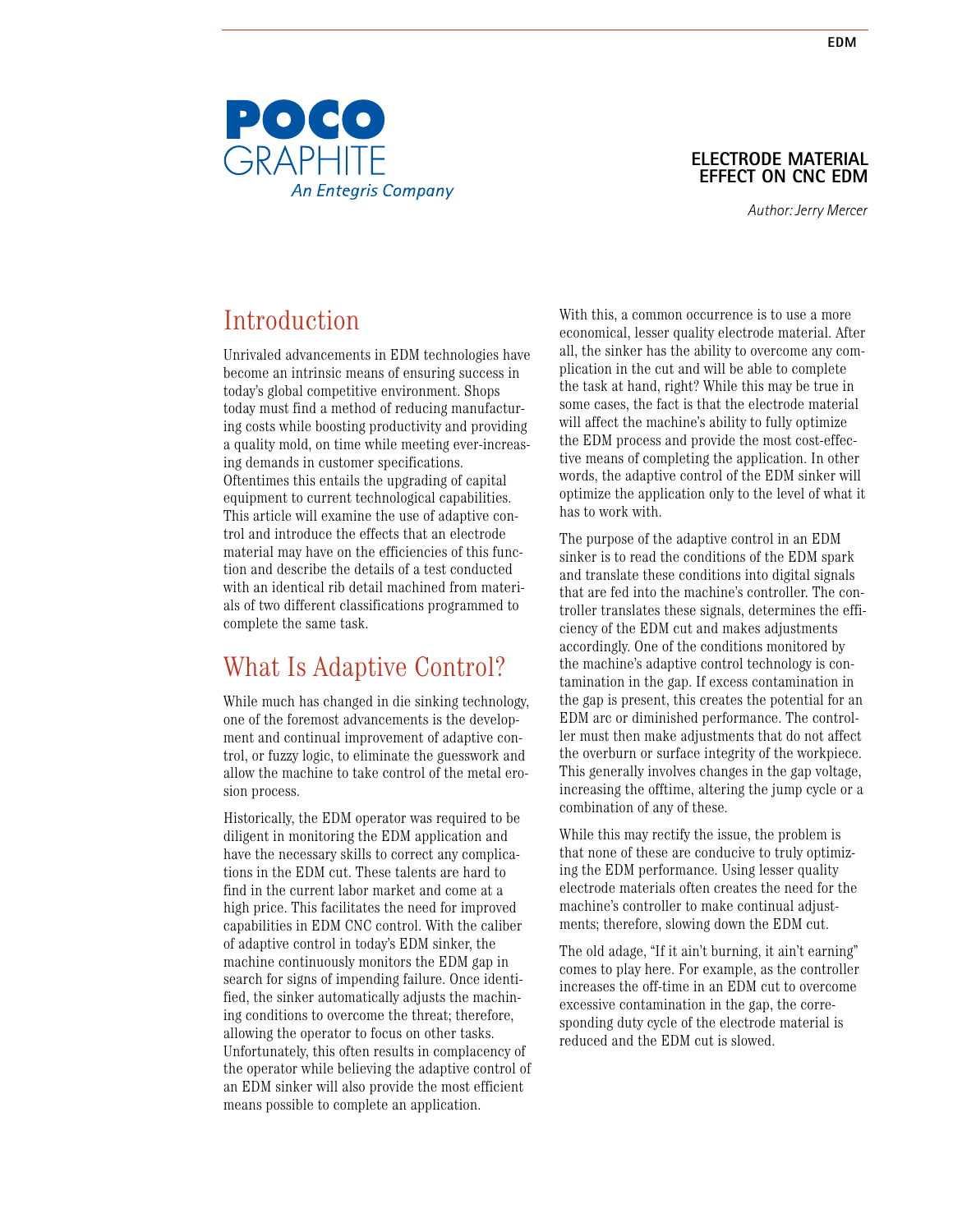

### **Electrode material effect on CNC EDM**

*Author: Jerry Mercer*

# Introduction

Unrivaled advancements in EDM technologies have become an intrinsic means of ensuring success in today's global competitive environment. Shops today must find a method of reducing manufacturing costs while boosting productivity and providing a quality mold, on time while meeting ever-increasing demands in customer specifications. Oftentimes this entails the upgrading of capital equipment to current technological capabilities. This article will examine the use of adaptive control and introduce the effects that an electrode material may have on the efficiencies of this function and describe the details of a test conducted with an identical rib detail machined from materials of two different classifications programmed to complete the same task.

## What Is Adaptive Control?

While much has changed in die sinking technology, one of the foremost advancements is the development and continual improvement of adaptive control, or fuzzy logic, to eliminate the guesswork and allow the machine to take control of the metal erosion process.

Historically, the EDM operator was required to be diligent in monitoring the EDM application and have the necessary skills to correct any complications in the EDM cut. These talents are hard to find in the current labor market and come at a high price. This facilitates the need for improved capabilities in EDM CNC control. With the caliber of adaptive control in today's EDM sinker, the machine continuously monitors the EDM gap in search for signs of impending failure. Once identified, the sinker automatically adjusts the machining conditions to overcome the threat; therefore, allowing the operator to focus on other tasks. Unfortunately, this often results in complacency of the operator while believing the adaptive control of an EDM sinker will also provide the most efficient means possible to complete an application.

With this, a common occurrence is to use a more economical, lesser quality electrode material. After all, the sinker has the ability to overcome any complication in the cut and will be able to complete the task at hand, right? While this may be true in some cases, the fact is that the electrode material will affect the machine's ability to fully optimize the EDM process and provide the most cost-effective means of completing the application. In other words, the adaptive control of the EDM sinker will optimize the application only to the level of what it has to work with.

The purpose of the adaptive control in an EDM sinker is to read the conditions of the EDM spark and translate these conditions into digital signals that are fed into the machine's controller. The controller translates these signals, determines the efficiency of the EDM cut and makes adjustments accordingly. One of the conditions monitored by the machine's adaptive control technology is contamination in the gap. If excess contamination in the gap is present, this creates the potential for an EDM arc or diminished performance. The controller must then make adjustments that do not affect the overburn or surface integrity of the workpiece. This generally involves changes in the gap voltage, increasing the offtime, altering the jump cycle or a combination of any of these.

While this may rectify the issue, the problem is that none of these are conducive to truly optimizing the EDM performance. Using lesser quality electrode materials often creates the need for the machine's controller to make continual adjustments; therefore, slowing down the EDM cut.

The old adage, "If it ain't burning, it ain't earning" comes to play here. For example, as the controller increases the off-time in an EDM cut to overcome excessive contamination in the gap, the corresponding duty cycle of the electrode material is reduced and the EDM cut is slowed.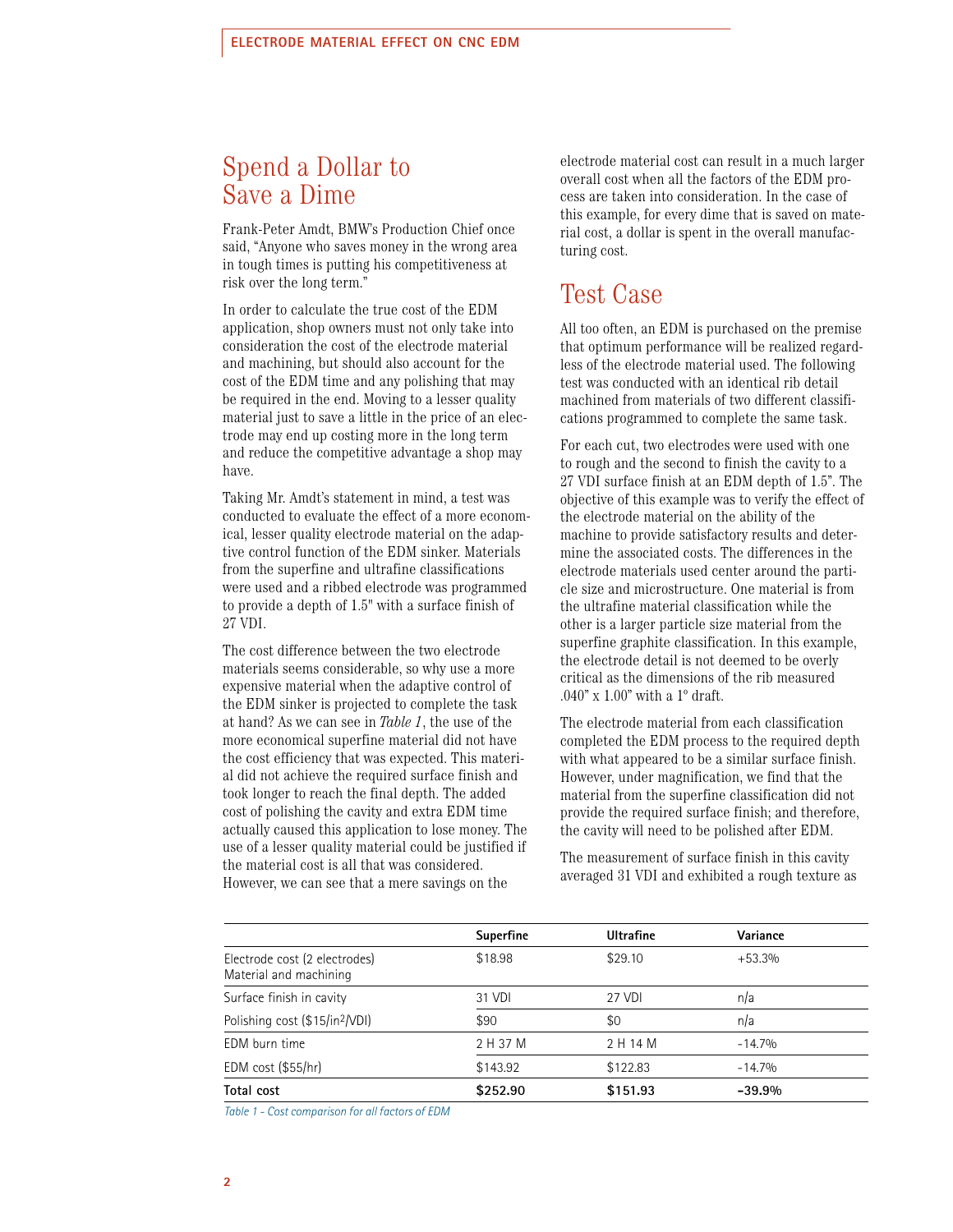## Spend a Dollar to Save a Dime

Frank-Peter Amdt, BMW's Production Chief once said, "Anyone who saves money in the wrong area in tough times is putting his competitiveness at risk over the long term."

In order to calculate the true cost of the EDM application, shop owners must not only take into consideration the cost of the electrode material and machining, but should also account for the cost of the EDM time and any polishing that may be required in the end. Moving to a lesser quality material just to save a little in the price of an electrode may end up costing more in the long term and reduce the competitive advantage a shop may have.

Taking Mr. Amdt's statement in mind, a test was conducted to evaluate the effect of a more economical, lesser quality electrode material on the adaptive control function of the EDM sinker. Materials from the superfine and ultrafine classifications were used and a ribbed electrode was programmed to provide a depth of 1.5" with a surface finish of 27 VDI.

The cost difference between the two electrode materials seems considerable, so why use a more expensive material when the adaptive control of the EDM sinker is projected to complete the task at hand? As we can see in *Table 1*, the use of the more economical superfine material did not have the cost efficiency that was expected. This material did not achieve the required surface finish and took longer to reach the final depth. The added cost of polishing the cavity and extra EDM time actually caused this application to lose money. The use of a lesser quality material could be justified if the material cost is all that was considered. However, we can see that a mere savings on the

electrode material cost can result in a much larger overall cost when all the factors of the EDM process are taken into consideration. In the case of this example, for every dime that is saved on material cost, a dollar is spent in the overall manufacturing cost.

### Test Case

All too often, an EDM is purchased on the premise that optimum performance will be realized regardless of the electrode material used. The following test was conducted with an identical rib detail machined from materials of two different classifications programmed to complete the same task.

For each cut, two electrodes were used with one to rough and the second to finish the cavity to a 27 VDI surface finish at an EDM depth of 1.5". The objective of this example was to verify the effect of the electrode material on the ability of the machine to provide satisfactory results and determine the associated costs. The differences in the electrode materials used center around the particle size and microstructure. One material is from the ultrafine material classification while the other is a larger particle size material from the superfine graphite classification. In this example, the electrode detail is not deemed to be overly critical as the dimensions of the rib measured .040" x 1.00" with a 1º draft.

The electrode material from each classification completed the EDM process to the required depth with what appeared to be a similar surface finish. However, under magnification, we find that the material from the superfine classification did not provide the required surface finish; and therefore, the cavity will need to be polished after EDM.

The measurement of surface finish in this cavity averaged 31 VDI and exhibited a rough texture as

|                                                         | Superfine | <b>Ultrafine</b> | Variance |
|---------------------------------------------------------|-----------|------------------|----------|
| Electrode cost (2 electrodes)<br>Material and machining | \$18.98   | \$29.10          | $+53.3%$ |
| Surface finish in cavity                                | 31 VDI    | 27 VDI           | n/a      |
| Polishing cost (\$15/in <sup>2</sup> /VDI)              | \$90      | \$0              | n/a      |
| EDM burn time                                           | 2 H 37 M  | 2 H 14 M         | $-14.7%$ |
| EDM cost $($55/hr)$                                     | \$143.92  | \$122.83         | $-14.7%$ |
| Total cost                                              | \$252.90  | \$151.93         | $-39.9%$ |

*Table 1 - Cost comparison for all factors of EDM*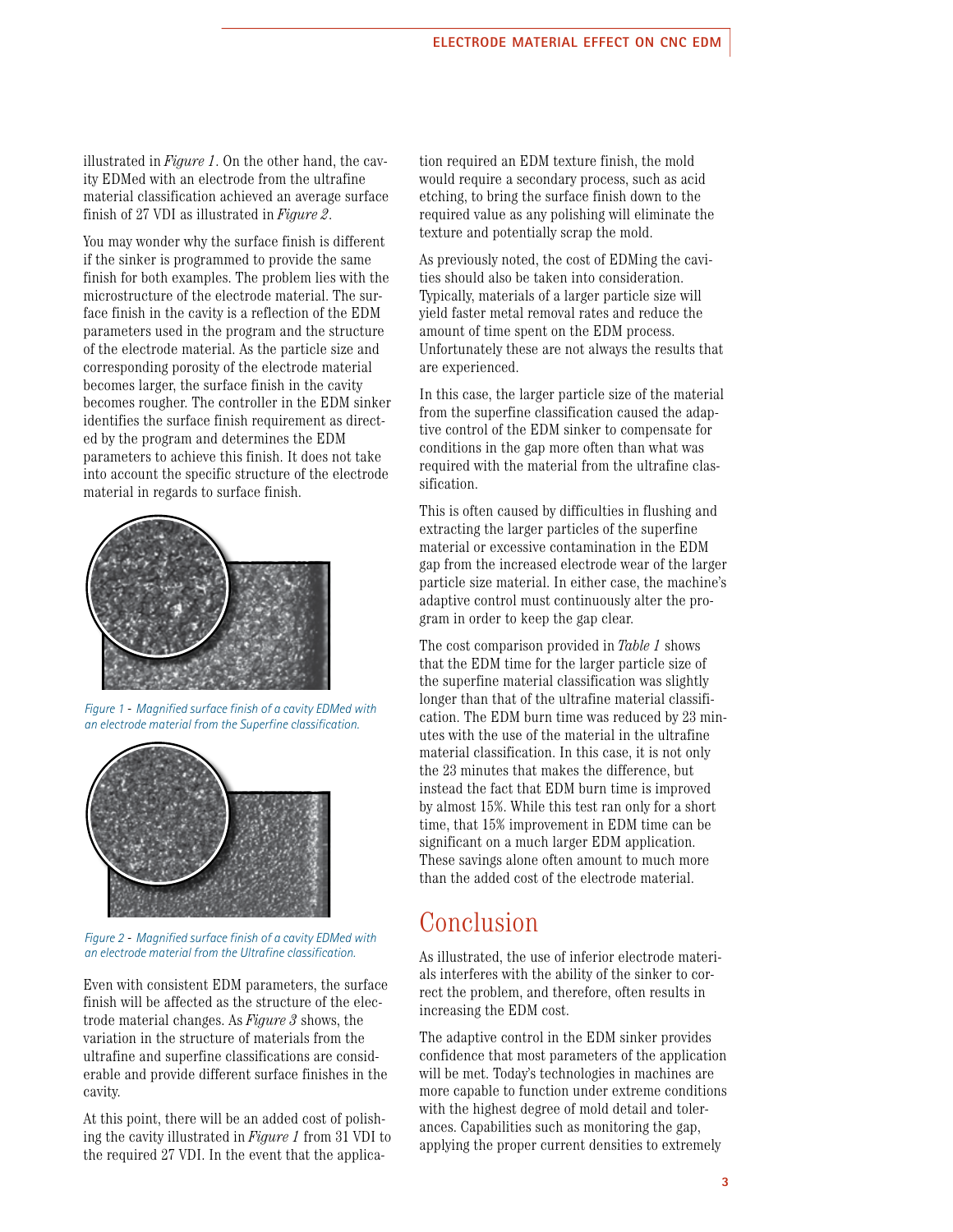illustrated in *Figure 1*. On the other hand, the cavity EDMed with an electrode from the ultrafine material classification achieved an average surface finish of 27 VDI as illustrated in *Figure 2*.

You may wonder why the surface finish is different if the sinker is programmed to provide the same finish for both examples. The problem lies with the microstructure of the electrode material. The surface finish in the cavity is a reflection of the EDM parameters used in the program and the structure of the electrode material. As the particle size and corresponding porosity of the electrode material becomes larger, the surface finish in the cavity becomes rougher. The controller in the EDM sinker identifies the surface finish requirement as directed by the program and determines the EDM parameters to achieve this finish. It does not take into account the specific structure of the electrode material in regards to surface finish.



*Figure 1* - *Magnified surface finish of a cavity EDMed with an electrode material from the Superfine classification.*



*Figure 2* - *Magnified surface finish of a cavity EDMed with an electrode material from the Ultrafine classification.*

Even with consistent EDM parameters, the surface finish will be affected as the structure of the electrode material changes. As *Figure 3* shows, the variation in the structure of materials from the ultrafine and superfine classifications are considerable and provide different surface finishes in the cavity.

At this point, there will be an added cost of polishing the cavity illustrated in *Figure 1* from 31 VDI to the required 27 VDI. In the event that the application required an EDM texture finish, the mold would require a secondary process, such as acid etching, to bring the surface finish down to the required value as any polishing will eliminate the texture and potentially scrap the mold.

As previously noted, the cost of EDMing the cavities should also be taken into consideration. Typically, materials of a larger particle size will yield faster metal removal rates and reduce the amount of time spent on the EDM process. Unfortunately these are not always the results that are experienced.

In this case, the larger particle size of the material from the superfine classification caused the adaptive control of the EDM sinker to compensate for conditions in the gap more often than what was required with the material from the ultrafine classification.

This is often caused by difficulties in flushing and extracting the larger particles of the superfine material or excessive contamination in the EDM gap from the increased electrode wear of the larger particle size material. In either case, the machine's adaptive control must continuously alter the program in order to keep the gap clear.

The cost comparison provided in *Table 1* shows that the EDM time for the larger particle size of the superfine material classification was slightly longer than that of the ultrafine material classification. The EDM burn time was reduced by 23 minutes with the use of the material in the ultrafine material classification. In this case, it is not only the 23 minutes that makes the difference, but instead the fact that EDM burn time is improved by almost 15%. While this test ran only for a short time, that 15% improvement in EDM time can be significant on a much larger EDM application. These savings alone often amount to much more than the added cost of the electrode material.

## Conclusion

As illustrated, the use of inferior electrode materials interferes with the ability of the sinker to correct the problem, and therefore, often results in increasing the EDM cost.

The adaptive control in the EDM sinker provides confidence that most parameters of the application will be met. Today's technologies in machines are more capable to function under extreme conditions with the highest degree of mold detail and tolerances. Capabilities such as monitoring the gap, applying the proper current densities to extremely